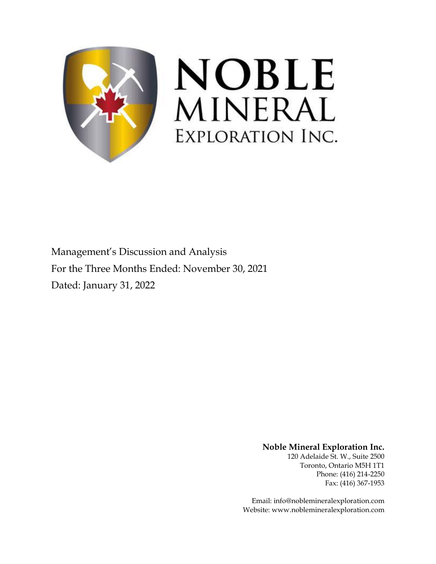

Management's Discussion and Analysis For the Three Months Ended: November 30, 2021 Dated: January 31, 2022

**Noble Mineral Exploration Inc.**

120 Adelaide St. W., Suite 2500 Toronto, Ontario M5H 1T1 Phone: (416) 214-2250 Fax: (416) 367-1953

Email: info@noblemineralexploration.com Website: www.noblemineralexploration.com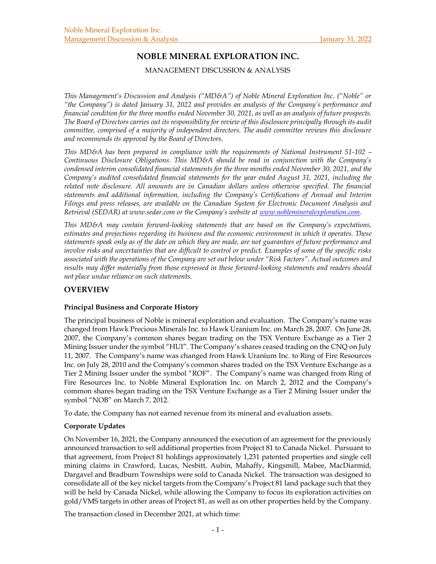# **NOBLE MINERAL EXPLORATION INC.**

MANAGEMENT DISCUSSION & ANALYSIS

*This Management's Discussion and Analysis ("MD&A") of Noble Mineral Exploration Inc. ("Noble" or "the Company") is dated January 31, 2022 and provides an analysis of the Company's performance and financial condition for the three months ended November 30, 2021, as well as an analysis of future prospects. The Board of Directors carries out its responsibility for review of this disclosure principally through its audit committee, comprised of a majority of independent directors. The audit committee reviews this disclosure and recommends its approval by the Board of Directors.* 

*This MD&A has been prepared in compliance with the requirements of National Instrument 51-102 – Continuous Disclosure Obligations. This MD&A should be read in conjunction with the Company's condensed interim consolidated financial statements for the three months ended November 30, 2021, and the Company's audited consolidated financial statements for the year ended August 31, 2021, including the*  related note disclosure. All amounts are in Canadian dollars unless otherwise specified. The financial *statements and additional information, including the Company's Certifications of Annual and Interim Filings and press releases, are available on the Canadian System for Electronic Document Analysis and Retrieval (SEDAR) at www.sedar.com or the Company's website at www.noblemineralexploration.com.* 

*This MD&A may contain forward-looking statements that are based on the Company's expectations, estimates and projections regarding its business and the economic environment in which it operates. These statements speak only as of the date on which they are made, are not guarantees of future performance and involve risks and uncertainties that are difficult to control or predict. Examples of some of the specific risks associated with the operations of the Company are set out below under "Risk Factors". Actual outcomes and results may differ materially from those expressed in these forward-looking statements and readers should not place undue reliance on such statements.*

# **OVERVIEW**

#### **Principal Business and Corporate History**

The principal business of Noble is mineral exploration and evaluation. The Company's name was changed from Hawk Precious Minerals Inc. to Hawk Uranium Inc. on March 28, 2007. On June 28, 2007, the Company's common shares began trading on the TSX Venture Exchange as a Tier 2 Mining Issuer under the symbol "HUI". The Company's shares ceased trading on the CNQ on July 11, 2007. The Company's name was changed from Hawk Uranium Inc. to Ring of Fire Resources Inc. on July 28, 2010 and the Company's common shares traded on the TSX Venture Exchange as a Tier 2 Mining Issuer under the symbol "ROF". The Company's name was changed from Ring of Fire Resources Inc. to Noble Mineral Exploration Inc. on March 2, 2012 and the Company's common shares began trading on the TSX Venture Exchange as a Tier 2 Mining Issuer under the symbol "NOB" on March 7, 2012.

To date, the Company has not earned revenue from its mineral and evaluation assets.

# **Corporate Updates**

On November 16, 2021, the Company announced the execution of an agreement for the previously announced transaction to sell additional properties from Project 81 to Canada Nickel. Pursuant to that agreement, from Project 81 holdings approximately 1,231 patented properties and single cell mining claims in Crawford, Lucas, Nesbitt, Aubin, Mahaffy, Kingsmill, Mabee, MacDiarmid, Dargavel and Bradburn Townships were sold to Canada Nickel. The transaction was designed to consolidate all of the key nickel targets from the Company's Project 81 land package such that they will be held by Canada Nickel, while allowing the Company to focus its exploration activities on gold/VMS targets in other areas of Project 81, as well as on other properties held by the Company.

The transaction closed in December 2021, at which time: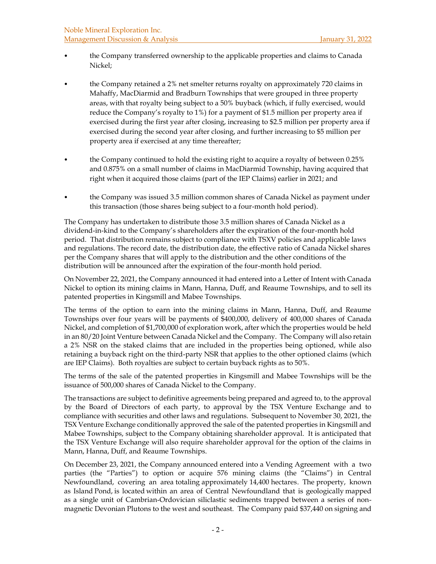- the Company transferred ownership to the applicable properties and claims to Canada Nickel;
- the Company retained a 2% net smelter returns royalty on approximately 720 claims in Mahaffy, MacDiarmid and Bradburn Townships that were grouped in three property areas, with that royalty being subject to a 50% buyback (which, if fully exercised, would reduce the Company's royalty to 1%) for a payment of \$1.5 million per property area if exercised during the first year after closing, increasing to \$2.5 million per property area if exercised during the second year after closing, and further increasing to \$5 million per property area if exercised at any time thereafter;
- the Company continued to hold the existing right to acquire a royalty of between 0.25% and 0.875% on a small number of claims in MacDiarmid Township, having acquired that right when it acquired those claims (part of the IEP Claims) earlier in 2021; and
- the Company was issued 3.5 million common shares of Canada Nickel as payment under this transaction (those shares being subject to a four-month hold period).

The Company has undertaken to distribute those 3.5 million shares of Canada Nickel as a dividend-in-kind to the Company's shareholders after the expiration of the four-month hold period. That distribution remains subject to compliance with TSXV policies and applicable laws and regulations. The record date, the distribution date, the effective ratio of Canada Nickel shares per the Company shares that will apply to the distribution and the other conditions of the distribution will be announced after the expiration of the four-month hold period.

On November 22, 2021, the Company announced it had entered into a Letter of Intent with Canada Nickel to option its mining claims in Mann, Hanna, Duff, and Reaume Townships, and to sell its patented properties in Kingsmill and Mabee Townships.

The terms of the option to earn into the mining claims in Mann, Hanna, Duff, and Reaume Townships over four years will be payments of \$400,000, delivery of 400,000 shares of Canada Nickel, and completion of \$1,700,000 of exploration work, after which the properties would be held in an 80/20 Joint Venture between Canada Nickel and the Company. The Company will also retain a 2% NSR on the staked claims that are included in the properties being optioned, while also retaining a buyback right on the third-party NSR that applies to the other optioned claims (which are IEP Claims). Both royalties are subject to certain buyback rights as to 50%.

The terms of the sale of the patented properties in Kingsmill and Mabee Townships will be the issuance of 500,000 shares of Canada Nickel to the Company.

The transactions are subject to definitive agreements being prepared and agreed to, to the approval by the Board of Directors of each party, to approval by the TSX Venture Exchange and to compliance with securities and other laws and regulations. Subsequent to November 30, 2021, the TSX Venture Exchange conditionally approved the sale of the patented properties in Kingsmill and Mabee Townships, subject to the Company obtaining shareholder approval. It is anticipated that the TSX Venture Exchange will also require shareholder approval for the option of the claims in Mann, Hanna, Duff, and Reaume Townships.

On December 23, 2021, the Company announced entered into a Vending Agreement with a two parties (the "Parties") to option or acquire 576 mining claims (the "Claims") in Central Newfoundland, covering an area totaling approximately 14,400 hectares. The property, known as Island Pond, is located within an area of Central Newfoundland that is geologically mapped as a single unit of Cambrian-Ordovician siliclastic sediments trapped between a series of nonmagnetic Devonian Plutons to the west and southeast. The Company paid \$37,440 on signing and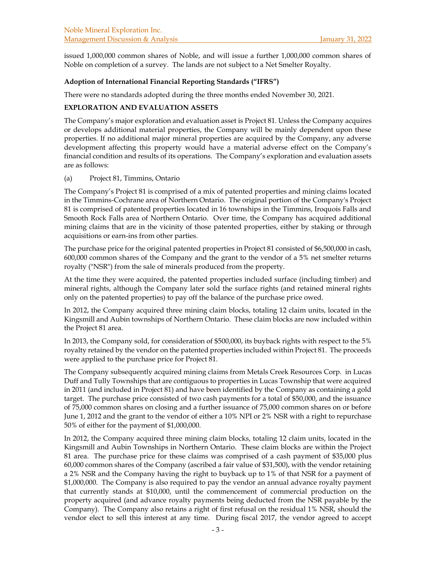issued 1,000,000 common shares of Noble, and will issue a further 1,000,000 common shares of Noble on completion of a survey. The lands are not subject to a Net Smelter Royalty.

#### **Adoption of International Financial Reporting Standards ("IFRS")**

There were no standards adopted during the three months ended November 30, 2021.

### **EXPLORATION AND EVALUATION ASSETS**

The Company's major exploration and evaluation asset is Project 81. Unless the Company acquires or develops additional material properties, the Company will be mainly dependent upon these properties. If no additional major mineral properties are acquired by the Company, any adverse development affecting this property would have a material adverse effect on the Company's financial condition and results of its operations. The Company's exploration and evaluation assets are as follows:

#### (a) Project 81, Timmins, Ontario

The Company's Project 81 is comprised of a mix of patented properties and mining claims located in the Timmins-Cochrane area of Northern Ontario. The original portion of the Company's Project 81 is comprised of patented properties located in 16 townships in the Timmins, Iroquois Falls and Smooth Rock Falls area of Northern Ontario. Over time, the Company has acquired additional mining claims that are in the vicinity of those patented properties, either by staking or through acquisitions or earn-ins from other parties.

The purchase price for the original patented properties in Project 81 consisted of \$6,500,000 in cash, 600,000 common shares of the Company and the grant to the vendor of a 5% net smelter returns royalty ("NSR") from the sale of minerals produced from the property.

At the time they were acquired, the patented properties included surface (including timber) and mineral rights, although the Company later sold the surface rights (and retained mineral rights only on the patented properties) to pay off the balance of the purchase price owed.

In 2012, the Company acquired three mining claim blocks, totaling 12 claim units, located in the Kingsmill and Aubin townships of Northern Ontario. These claim blocks are now included within the Project 81 area.

In 2013, the Company sold, for consideration of \$500,000, its buyback rights with respect to the 5% royalty retained by the vendor on the patented properties included within Project 81. The proceeds were applied to the purchase price for Project 81.

The Company subsequently acquired mining claims from Metals Creek Resources Corp. in Lucas Duff and Tully Townships that are contiguous to properties in Lucas Township that were acquired in 2011 (and included in Project 81) and have been identified by the Company as containing a gold target. The purchase price consisted of two cash payments for a total of \$50,000, and the issuance of 75,000 common shares on closing and a further issuance of 75,000 common shares on or before June 1, 2012 and the grant to the vendor of either a 10% NPI or 2% NSR with a right to repurchase 50% of either for the payment of \$1,000,000.

In 2012, the Company acquired three mining claim blocks, totaling 12 claim units, located in the Kingsmill and Aubin Townships in Northern Ontario. These claim blocks are within the Project 81 area. The purchase price for these claims was comprised of a cash payment of \$35,000 plus 60,000 common shares of the Company (ascribed a fair value of \$31,500), with the vendor retaining a 2% NSR and the Company having the right to buyback up to 1% of that NSR for a payment of \$1,000,000. The Company is also required to pay the vendor an annual advance royalty payment that currently stands at \$10,000, until the commencement of commercial production on the property acquired (and advance royalty payments being deducted from the NSR payable by the Company). The Company also retains a right of first refusal on the residual 1% NSR, should the vendor elect to sell this interest at any time. During fiscal 2017, the vendor agreed to accept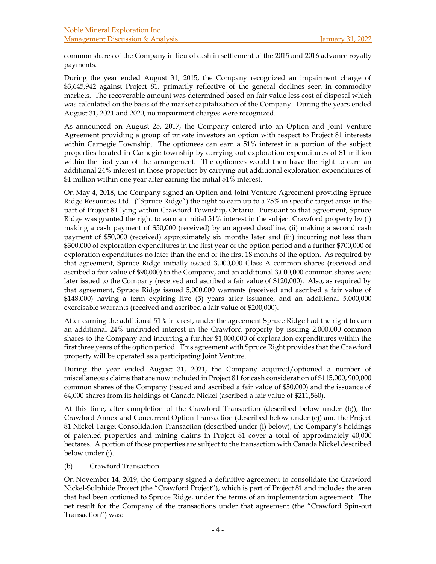common shares of the Company in lieu of cash in settlement of the 2015 and 2016 advance royalty payments.

During the year ended August 31, 2015, the Company recognized an impairment charge of \$3,645,942 against Project 81, primarily reflective of the general declines seen in commodity markets. The recoverable amount was determined based on fair value less cost of disposal which was calculated on the basis of the market capitalization of the Company. During the years ended August 31, 2021 and 2020, no impairment charges were recognized.

As announced on August 25, 2017, the Company entered into an Option and Joint Venture Agreement providing a group of private investors an option with respect to Project 81 interests within Carnegie Township. The optionees can earn a 51% interest in a portion of the subject properties located in Carnegie township by carrying out exploration expenditures of \$1 million within the first year of the arrangement. The optionees would then have the right to earn an additional 24% interest in those properties by carrying out additional exploration expenditures of \$1 million within one year after earning the initial 51% interest.

On May 4, 2018, the Company signed an Option and Joint Venture Agreement providing Spruce Ridge Resources Ltd. ("Spruce Ridge") the right to earn up to a 75% in specific target areas in the part of Project 81 lying within Crawford Township, Ontario. Pursuant to that agreement, Spruce Ridge was granted the right to earn an initial 51% interest in the subject Crawford property by (i) making a cash payment of \$50,000 (received) by an agreed deadline, (ii) making a second cash payment of \$50,000 (received) approximately six months later and (iii) incurring not less than \$300,000 of exploration expenditures in the first year of the option period and a further \$700,000 of exploration expenditures no later than the end of the first 18 months of the option. As required by that agreement, Spruce Ridge initially issued 3,000,000 Class A common shares (received and ascribed a fair value of \$90,000) to the Company, and an additional 3,000,000 common shares were later issued to the Company (received and ascribed a fair value of \$120,000). Also, as required by that agreement, Spruce Ridge issued 5,000,000 warrants (received and ascribed a fair value of \$148,000) having a term expiring five (5) years after issuance, and an additional 5,000,000 exercisable warrants (received and ascribed a fair value of \$200,000).

After earning the additional 51% interest, under the agreement Spruce Ridge had the right to earn an additional 24% undivided interest in the Crawford property by issuing 2,000,000 common shares to the Company and incurring a further \$1,000,000 of exploration expenditures within the first three years of the option period. This agreement with Spruce Right provides that the Crawford property will be operated as a participating Joint Venture.

During the year ended August 31, 2021, the Company acquired/optioned a number of miscellaneous claims that are now included in Project 81 for cash consideration of \$115,000, 900,000 common shares of the Company (issued and ascribed a fair value of \$50,000) and the issuance of 64,000 shares from its holdings of Canada Nickel (ascribed a fair value of \$211,560).

At this time, after completion of the Crawford Transaction (described below under (b)), the Crawford Annex and Concurrent Option Transaction (described below under (c)) and the Project 81 Nickel Target Consolidation Transaction (described under (i) below), the Company's holdings of patented properties and mining claims in Project 81 cover a total of approximately 40,000 hectares. A portion of those properties are subject to the transaction with Canada Nickel described below under (j).

# (b) Crawford Transaction

On November 14, 2019, the Company signed a definitive agreement to consolidate the Crawford Nickel-Sulphide Project (the "Crawford Project"), which is part of Project 81 and includes the area that had been optioned to Spruce Ridge, under the terms of an implementation agreement. The net result for the Company of the transactions under that agreement (the "Crawford Spin-out Transaction") was: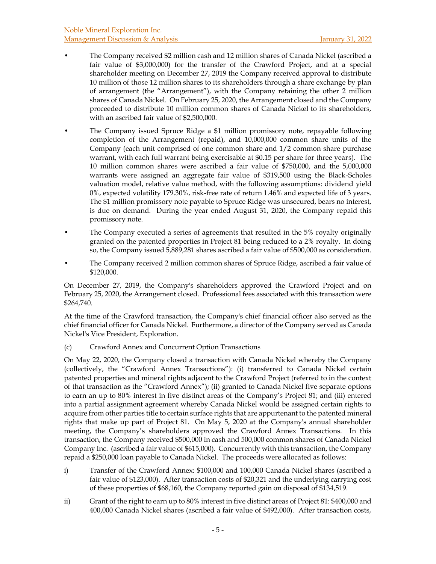- The Company received \$2 million cash and 12 million shares of Canada Nickel (ascribed a fair value of \$3,000,000) for the transfer of the Crawford Project, and at a special shareholder meeting on December 27, 2019 the Company received approval to distribute 10 million of those 12 million shares to its shareholders through a share exchange by plan of arrangement (the "Arrangement"), with the Company retaining the other 2 million shares of Canada Nickel. On February 25, 2020, the Arrangement closed and the Company proceeded to distribute 10 million common shares of Canada Nickel to its shareholders, with an ascribed fair value of \$2,500,000.
- The Company issued Spruce Ridge a \$1 million promissory note, repayable following completion of the Arrangement (repaid), and 10,000,000 common share units of the Company (each unit comprised of one common share and 1/2 common share purchase warrant, with each full warrant being exercisable at \$0.15 per share for three years). The 10 million common shares were ascribed a fair value of \$750,000, and the 5,000,000 warrants were assigned an aggregate fair value of \$319,500 using the Black-Scholes valuation model, relative value method, with the following assumptions: dividend yield 0%, expected volatility 179.30%, risk-free rate of return 1.46% and expected life of 3 years. The \$1 million promissory note payable to Spruce Ridge was unsecured, bears no interest, is due on demand. During the year ended August 31, 2020, the Company repaid this promissory note.
- The Company executed a series of agreements that resulted in the 5% royalty originally granted on the patented properties in Project 81 being reduced to a 2% royalty. In doing so, the Company issued 5,889,281 shares ascribed a fair value of \$500,000 as consideration.
- The Company received 2 million common shares of Spruce Ridge, ascribed a fair value of \$120,000.

On December 27, 2019, the Company's shareholders approved the Crawford Project and on February 25, 2020, the Arrangement closed. Professional fees associated with this transaction were \$264,740.

At the time of the Crawford transaction, the Company's chief financial officer also served as the chief financial officer for Canada Nickel. Furthermore, a director of the Company served as Canada Nickel's Vice President, Exploration.

(c) Crawford Annex and Concurrent Option Transactions

On May 22, 2020, the Company closed a transaction with Canada Nickel whereby the Company (collectively, the "Crawford Annex Transactions"): (i) transferred to Canada Nickel certain patented properties and mineral rights adjacent to the Crawford Project (referred to in the context of that transaction as the "Crawford Annex"); (ii) granted to Canada Nickel five separate options to earn an up to 80% interest in five distinct areas of the Company's Project 81; and (iii) entered into a partial assignment agreement whereby Canada Nickel would be assigned certain rights to acquire from other parties title to certain surface rights that are appurtenant to the patented mineral rights that make up part of Project 81. On May 5, 2020 at the Company's annual shareholder meeting, the Company's shareholders approved the Crawford Annex Transactions. In this transaction, the Company received \$500,000 in cash and 500,000 common shares of Canada Nickel Company Inc. (ascribed a fair value of \$615,000). Concurrently with this transaction, the Company repaid a \$250,000 loan payable to Canada Nickel. The proceeds were allocated as follows:

- i) Transfer of the Crawford Annex: \$100,000 and 100,000 Canada Nickel shares (ascribed a fair value of \$123,000). After transaction costs of \$20,321 and the underlying carrying cost of these properties of \$68,160, the Company reported gain on disposal of \$134,519.
- ii) Grant of the right to earn up to 80% interest in five distinct areas of Project 81: \$400,000 and 400,000 Canada Nickel shares (ascribed a fair value of \$492,000). After transaction costs,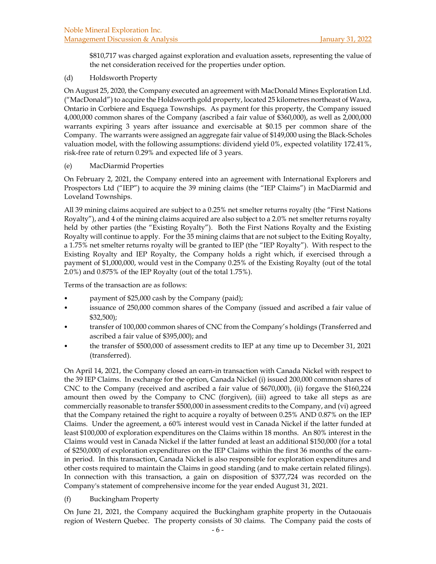\$810,717 was charged against exploration and evaluation assets, representing the value of the net consideration received for the properties under option.

### (d) Holdsworth Property

On August 25, 2020, the Company executed an agreement with MacDonald Mines Exploration Ltd. ("MacDonald") to acquire the Holdsworth gold property, located 25 kilometres northeast of Wawa, Ontario in Corbiere and Esquega Townships. As payment for this property, the Company issued 4,000,000 common shares of the Company (ascribed a fair value of \$360,000), as well as 2,000,000 warrants expiring 3 years after issuance and exercisable at \$0.15 per common share of the Company. The warrants were assigned an aggregate fair value of \$149,000 using the Black-Scholes valuation model, with the following assumptions: dividend yield 0%, expected volatility 172.41%, risk-free rate of return 0.29% and expected life of 3 years.

### (e) MacDiarmid Properties

On February 2, 2021, the Company entered into an agreement with International Explorers and Prospectors Ltd ("IEP") to acquire the 39 mining claims (the "IEP Claims") in MacDiarmid and Loveland Townships.

All 39 mining claims acquired are subject to a 0.25% net smelter returns royalty (the "First Nations Royalty"), and 4 of the mining claims acquired are also subject to a 2.0% net smelter returns royalty held by other parties (the "Existing Royalty"). Both the First Nations Royalty and the Existing Royalty will continue to apply. For the 35 mining claims that are not subject to the Exiting Royalty, a 1.75% net smelter returns royalty will be granted to IEP (the "IEP Royalty"). With respect to the Existing Royalty and IEP Royalty, the Company holds a right which, if exercised through a payment of \$1,000,000, would vest in the Company 0.25% of the Existing Royalty (out of the total 2.0%) and 0.875% of the IEP Royalty (out of the total 1.75%).

Terms of the transaction are as follows:

- payment of \$25,000 cash by the Company (paid);
- issuance of 250,000 common shares of the Company (issued and ascribed a fair value of \$32,500);
- transfer of 100,000 common shares of CNC from the Company's holdings (Transferred and ascribed a fair value of \$395,000); and
- the transfer of \$500,000 of assessment credits to IEP at any time up to December 31, 2021 (transferred).

On April 14, 2021, the Company closed an earn-in transaction with Canada Nickel with respect to the 39 IEP Claims. In exchange for the option, Canada Nickel (i) issued 200,000 common shares of CNC to the Company (received and ascribed a fair value of \$670,000), (ii) forgave the \$160,224 amount then owed by the Company to CNC (forgiven), (iii) agreed to take all steps as are commercially reasonable to transfer \$500,000 in assessment credits to the Company, and (vi) agreed that the Company retained the right to acquire a royalty of between 0.25% AND 0.87% on the IEP Claims. Under the agreement, a 60% interest would vest in Canada Nickel if the latter funded at least \$100,000 of exploration expenditures on the Claims within 18 months. An 80% interest in the Claims would vest in Canada Nickel if the latter funded at least an additional \$150,000 (for a total of \$250,000) of exploration expenditures on the IEP Claims within the first 36 months of the earnin period. In this transaction, Canada Nickel is also responsible for exploration expenditures and other costs required to maintain the Claims in good standing (and to make certain related filings). In connection with this transaction, a gain on disposition of \$377,724 was recorded on the Company's statement of comprehensive income for the year ended August 31, 2021.

# (f) Buckingham Property

On June 21, 2021, the Company acquired the Buckingham graphite property in the Outaouais region of Western Quebec. The property consists of 30 claims. The Company paid the costs of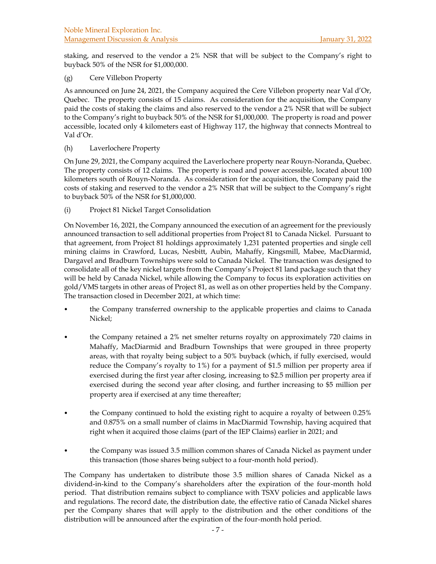staking, and reserved to the vendor a 2% NSR that will be subject to the Company's right to buyback 50% of the NSR for \$1,000,000.

(g) Cere Villebon Property

As announced on June 24, 2021, the Company acquired the Cere Villebon property near Val d'Or, Quebec. The property consists of 15 claims. As consideration for the acquisition, the Company paid the costs of staking the claims and also reserved to the vendor a 2% NSR that will be subject to the Company's right to buyback 50% of the NSR for \$1,000,000. The property is road and power accessible, located only 4 kilometers east of Highway 117, the highway that connects Montreal to Val d'Or.

(h) Laverlochere Property

On June 29, 2021, the Company acquired the Laverlochere property near Rouyn-Noranda, Quebec. The property consists of 12 claims. The property is road and power accessible, located about 100 kilometers south of Rouyn-Noranda. As consideration for the acquisition, the Company paid the costs of staking and reserved to the vendor a 2% NSR that will be subject to the Company's right to buyback 50% of the NSR for \$1,000,000.

(i) Project 81 Nickel Target Consolidation

On November 16, 2021, the Company announced the execution of an agreement for the previously announced transaction to sell additional properties from Project 81 to Canada Nickel. Pursuant to that agreement, from Project 81 holdings approximately 1,231 patented properties and single cell mining claims in Crawford, Lucas, Nesbitt, Aubin, Mahaffy, Kingsmill, Mabee, MacDiarmid, Dargavel and Bradburn Townships were sold to Canada Nickel. The transaction was designed to consolidate all of the key nickel targets from the Company's Project 81 land package such that they will be held by Canada Nickel, while allowing the Company to focus its exploration activities on gold/VMS targets in other areas of Project 81, as well as on other properties held by the Company. The transaction closed in December 2021, at which time:

- the Company transferred ownership to the applicable properties and claims to Canada Nickel;
- the Company retained a 2% net smelter returns royalty on approximately 720 claims in Mahaffy, MacDiarmid and Bradburn Townships that were grouped in three property areas, with that royalty being subject to a 50% buyback (which, if fully exercised, would reduce the Company's royalty to 1%) for a payment of \$1.5 million per property area if exercised during the first year after closing, increasing to \$2.5 million per property area if exercised during the second year after closing, and further increasing to \$5 million per property area if exercised at any time thereafter;
- the Company continued to hold the existing right to acquire a royalty of between 0.25% and 0.875% on a small number of claims in MacDiarmid Township, having acquired that right when it acquired those claims (part of the IEP Claims) earlier in 2021; and
- the Company was issued 3.5 million common shares of Canada Nickel as payment under this transaction (those shares being subject to a four-month hold period).

The Company has undertaken to distribute those 3.5 million shares of Canada Nickel as a dividend-in-kind to the Company's shareholders after the expiration of the four-month hold period. That distribution remains subject to compliance with TSXV policies and applicable laws and regulations. The record date, the distribution date, the effective ratio of Canada Nickel shares per the Company shares that will apply to the distribution and the other conditions of the distribution will be announced after the expiration of the four-month hold period.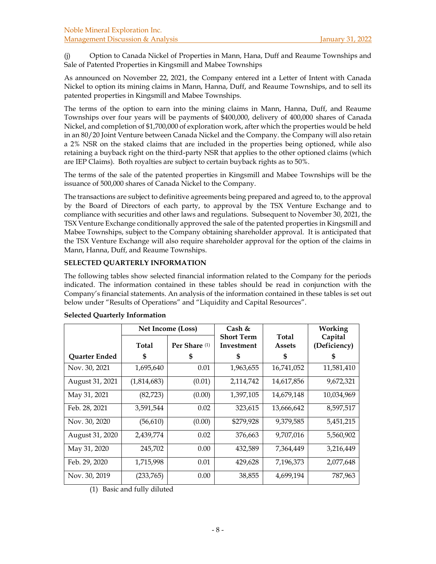(j) Option to Canada Nickel of Properties in Mann, Hana, Duff and Reaume Townships and Sale of Patented Properties in Kingsmill and Mabee Townships

As announced on November 22, 2021, the Company entered int a Letter of Intent with Canada Nickel to option its mining claims in Mann, Hanna, Duff, and Reaume Townships, and to sell its patented properties in Kingsmill and Mabee Townships.

The terms of the option to earn into the mining claims in Mann, Hanna, Duff, and Reaume Townships over four years will be payments of \$400,000, delivery of 400,000 shares of Canada Nickel, and completion of \$1,700,000 of exploration work, after which the properties would be held in an 80/20 Joint Venture between Canada Nickel and the Company. the Company will also retain a 2% NSR on the staked claims that are included in the properties being optioned, while also retaining a buyback right on the third-party NSR that applies to the other optioned claims (which are IEP Claims). Both royalties are subject to certain buyback rights as to 50%.

The terms of the sale of the patented properties in Kingsmill and Mabee Townships will be the issuance of 500,000 shares of Canada Nickel to the Company.

The transactions are subject to definitive agreements being prepared and agreed to, to the approval by the Board of Directors of each party, to approval by the TSX Venture Exchange and to compliance with securities and other laws and regulations. Subsequent to November 30, 2021, the TSX Venture Exchange conditionally approved the sale of the patented properties in Kingsmill and Mabee Townships, subject to the Company obtaining shareholder approval. It is anticipated that the TSX Venture Exchange will also require shareholder approval for the option of the claims in Mann, Hanna, Duff, and Reaume Townships.

# **SELECTED QUARTERLY INFORMATION**

The following tables show selected financial information related to the Company for the periods indicated. The information contained in these tables should be read in conjunction with the Company's financial statements. An analysis of the information contained in these tables is set out below under "Results of Operations" and "Liquidity and Capital Resources".

|                 | Net Income (Loss) |                          | Cash &                          |                               | Working                 |  |
|-----------------|-------------------|--------------------------|---------------------------------|-------------------------------|-------------------------|--|
|                 | Total             | Per Share <sup>(1)</sup> | <b>Short Term</b><br>Investment | <b>Total</b><br><b>Assets</b> | Capital<br>(Deficiency) |  |
| Quarter Ended   | \$                | S                        | ზ                               | S                             |                         |  |
| Nov. 30, 2021   | 1,695,640         | 0.01                     | 1,963,655                       | 16,741,052                    | 11,581,410              |  |
| August 31, 2021 | (1,814,683)       | (0.01)                   | 2,114,742                       | 14,617,856                    | 9,672,321               |  |
| May 31, 2021    | (82, 723)         | (0.00)                   | 1,397,105                       | 14,679,148                    | 10,034,969              |  |
| Feb. 28, 2021   | 3,591,544         | 0.02                     | 323,615                         | 13,666,642                    | 8,597,517               |  |
| Nov. 30, 2020   | (56, 610)         | (0.00)                   | \$279,928                       | 9,379,585                     | 5,451,215               |  |
| August 31, 2020 | 2,439,774         | 0.02                     | 376,663                         | 9,707,016                     | 5,560,902               |  |
| May 31, 2020    | 245,702           | 0.00                     | 432,589                         | 7,364,449                     | 3,216,449               |  |
| Feb. 29, 2020   | 1,715,998         | 0.01                     | 429,628                         | 7,196,373                     | 2,077,648               |  |
| Nov. 30, 2019   | (233,765)         | 0.00                     | 38,855                          | 4,699,194                     | 787,963                 |  |

# **Selected Quarterly Information**

(1) Basic and fully diluted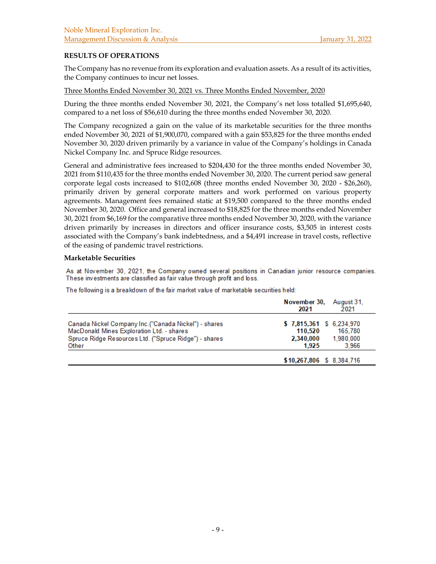# **RESULTS OF OPERATIONS**

The Company has no revenue from its exploration and evaluation assets. As a result of its activities, the Company continues to incur net losses.

Three Months Ended November 30, 2021 vs. Three Months Ended November, 2020

During the three months ended November 30, 2021, the Company's net loss totalled \$1,695,640, compared to a net loss of \$56,610 during the three months ended November 30, 2020.

The Company recognized a gain on the value of its marketable securities for the three months ended November 30, 2021 of \$1,900,070, compared with a gain \$53,825 for the three months ended November 30, 2020 driven primarily by a variance in value of the Company's holdings in Canada Nickel Company Inc. and Spruce Ridge resources.

General and administrative fees increased to \$204,430 for the three months ended November 30, 2021 from \$110,435 for the three months ended November 30, 2020. The current period saw general corporate legal costs increased to \$102,608 (three months ended November 30, 2020 - \$26,260), primarily driven by general corporate matters and work performed on various property agreements. Management fees remained static at \$19,500 compared to the three months ended November 30, 2020. Office and general increased to \$18,825 for the three months ended November 30, 2021 from \$6,169 for the comparative three months ended November 30, 2020, with the variance driven primarily by increases in directors and officer insurance costs, \$3,505 in interest costs associated with the Company's bank indebtedness, and a \$4,491 increase in travel costs, reflective of the easing of pandemic travel restrictions.

#### **Marketable Securities**

As at November 30, 2021, the Company owned several positions in Canadian junior resource companies. These investments are classified as fair value through profit and loss.

The following is a breakdown of the fair market value of marketable securities held:

|                                                                                                                                                                      | November 30,<br>August 31.<br>2021<br>2021                                                |
|----------------------------------------------------------------------------------------------------------------------------------------------------------------------|-------------------------------------------------------------------------------------------|
| Canada Nickel Company Inc. ("Canada Nickel") - shares<br>MacDonald Mines Exploration Ltd. - shares<br>Spruce Ridge Resources Ltd. ("Spruce Ridge") - shares<br>Other | \$7,815,361 \$6,234,970<br>110.520<br>165.780<br>1.980.000<br>2,340,000<br>3.966<br>1.925 |
|                                                                                                                                                                      | \$10,267,806 \$8,384,716                                                                  |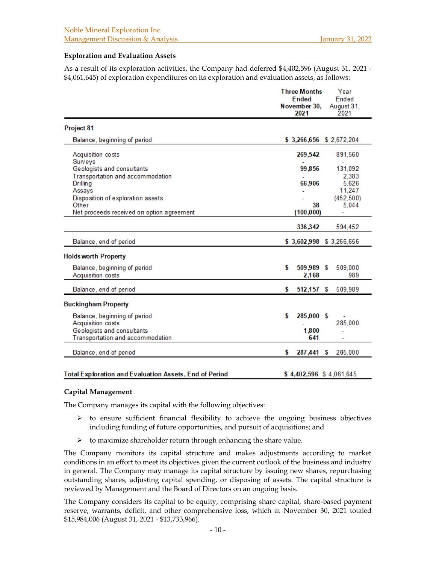#### **Exploration and Evaluation Assets**

As a result of its exploration activities, the Company had deferred \$4,402,596 (August 31, 2021 - \$4,061,645) of exploration expenditures on its exploration and evaluation assets, as follows:

|                                                               | <b>Three Months</b><br>Year  |                         |  |
|---------------------------------------------------------------|------------------------------|-------------------------|--|
|                                                               | <b>Ended</b><br>November 30, | Ended                   |  |
|                                                               | 2021                         | August 31,<br>2021      |  |
| Project 81                                                    |                              |                         |  |
| Balance, beginning of period                                  |                              | \$3,266,656 \$2,672,204 |  |
| Acquisition costs                                             | 269,542                      | 891,560                 |  |
| Surveys                                                       |                              |                         |  |
| Geologists and consultants                                    | 99,856                       | 131,092                 |  |
| Transportation and accommodation                              |                              | 2,383                   |  |
| Drilling                                                      | 66,906                       | 5,626                   |  |
| Assays                                                        |                              | 11,247                  |  |
| Disposition of exploration assets                             |                              | (452, 500)              |  |
| Other                                                         | 38                           | 5,044                   |  |
| Net proceeds received on option agreement                     | (100, 000)                   |                         |  |
|                                                               | 336,342                      | 594,452                 |  |
| Balance, end of period                                        |                              | \$3,602,998 \$3,266,656 |  |
| <b>Holds worth Property</b>                                   |                              |                         |  |
| Balance, beginning of period                                  | \$<br>509,989 \$             | 509,000                 |  |
| Acquisition costs                                             | 2,168                        | 989                     |  |
|                                                               |                              |                         |  |
| Balance, end of period                                        | \$<br>512,157 \$             | 509,989                 |  |
| <b>Buckingham Property</b>                                    |                              |                         |  |
| Balance, beginning of period                                  | \$<br>285,000 \$             |                         |  |
| Acquisition costs                                             |                              | 285,000                 |  |
| Geologists and consultants                                    | 1,800                        |                         |  |
| Transportation and accommodation                              | 641                          |                         |  |
|                                                               |                              |                         |  |
| Balance, end of period                                        | \$<br>287,441 \$             | 285,000                 |  |
|                                                               |                              |                         |  |
| <b>Total Exploration and Evaluation Assets. End of Period</b> | \$4,402,596 \$4061645        |                         |  |

#### **Capital Management**

The Company manages its capital with the following objectives:

- $\triangleright$  to ensure sufficient financial flexibility to achieve the ongoing business objectives including funding of future opportunities, and pursuit of acquisitions; and
- $\triangleright$  to maximize shareholder return through enhancing the share value.

The Company monitors its capital structure and makes adjustments according to market conditions in an effort to meet its objectives given the current outlook of the business and industry in general. The Company may manage its capital structure by issuing new shares, repurchasing outstanding shares, adjusting capital spending, or disposing of assets. The capital structure is reviewed by Management and the Board of Directors on an ongoing basis.

The Company considers its capital to be equity, comprising share capital, share-based payment reserve, warrants, deficit, and other comprehensive loss, which at November 30, 2021 totaled \$15,984,006 (August 31, 2021 - \$13,733,966).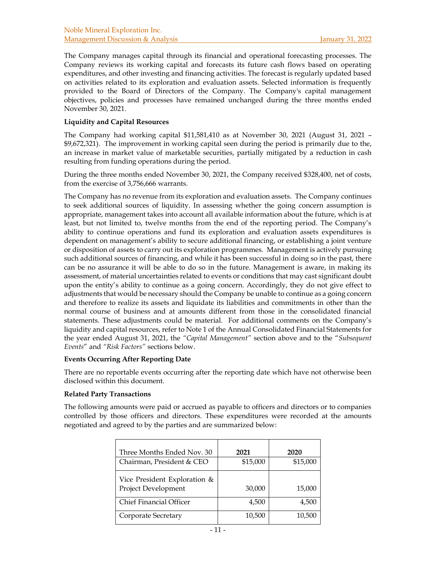The Company manages capital through its financial and operational forecasting processes. The Company reviews its working capital and forecasts its future cash flows based on operating expenditures, and other investing and financing activities. The forecast is regularly updated based on activities related to its exploration and evaluation assets. Selected information is frequently provided to the Board of Directors of the Company. The Company's capital management objectives, policies and processes have remained unchanged during the three months ended November 30, 2021.

# **Liquidity and Capital Resources**

The Company had working capital \$11,581,410 as at November 30, 2021 (August 31, 2021 – \$9,672,321). The improvement in working capital seen during the period is primarily due to the, an increase in market value of marketable securities, partially mitigated by a reduction in cash resulting from funding operations during the period.

During the three months ended November 30, 2021, the Company received \$328,400, net of costs, from the exercise of 3,756,666 warrants.

The Company has no revenue from its exploration and evaluation assets. The Company continues to seek additional sources of liquidity. In assessing whether the going concern assumption is appropriate, management takes into account all available information about the future, which is at least, but not limited to, twelve months from the end of the reporting period. The Company's ability to continue operations and fund its exploration and evaluation assets expenditures is dependent on management's ability to secure additional financing, or establishing a joint venture or disposition of assets to carry out its exploration programmes. Management is actively pursuing such additional sources of financing, and while it has been successful in doing so in the past, there can be no assurance it will be able to do so in the future. Management is aware, in making its assessment, of material uncertainties related to events or conditions that may cast significant doubt upon the entity's ability to continue as a going concern. Accordingly, they do not give effect to adjustments that would be necessary should the Company be unable to continue as a going concern and therefore to realize its assets and liquidate its liabilities and commitments in other than the normal course of business and at amounts different from those in the consolidated financial statements. These adjustments could be material. For additional comments on the Company's liquidity and capital resources, refer to Note 1 of the Annual Consolidated Financial Statements for the year ended August 31, 2021, the *"Capital Management"* section above and to the "*Subsequent Events*" and *"Risk Factors"* sections below.

#### **Events Occurring After Reporting Date**

There are no reportable events occurring after the reporting date which have not otherwise been disclosed within this document.

#### **Related Party Transactions**

The following amounts were paid or accrued as payable to officers and directors or to companies controlled by those officers and directors. These expenditures were recorded at the amounts negotiated and agreed to by the parties and are summarized below:

| Three Months Ended Nov. 30   | 2021     | 2020     |
|------------------------------|----------|----------|
| Chairman, President & CEO    | \$15,000 | \$15,000 |
| Vice President Exploration & |          |          |
| Project Development          | 30,000   | 15,000   |
| Chief Financial Officer      | 4,500    | 4,500    |
| Corporate Secretary          | 10,500   | 10,500   |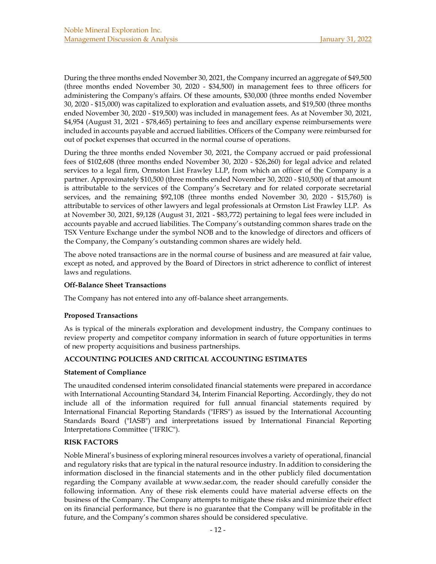During the three months ended November 30, 2021, the Company incurred an aggregate of \$49,500 (three months ended November 30, 2020 - \$34,500) in management fees to three officers for administering the Company's affairs. Of these amounts, \$30,000 (three months ended November 30, 2020 - \$15,000) was capitalized to exploration and evaluation assets, and \$19,500 (three months ended November 30, 2020 - \$19,500) was included in management fees. As at November 30, 2021, \$4,954 (August 31, 2021 - \$78,465) pertaining to fees and ancillary expense reimbursements were included in accounts payable and accrued liabilities. Officers of the Company were reimbursed for out of pocket expenses that occurred in the normal course of operations.

During the three months ended November 30, 2021, the Company accrued or paid professional fees of \$102,608 (three months ended November 30, 2020 - \$26,260) for legal advice and related services to a legal firm, Ormston List Frawley LLP, from which an officer of the Company is a partner. Approximately \$10,500 (three months ended November 30, 2020 - \$10,500) of that amount is attributable to the services of the Company's Secretary and for related corporate secretarial services, and the remaining \$92,108 (three months ended November 30, 2020 - \$15,760) is attributable to services of other lawyers and legal professionals at Ormston List Frawley LLP. As at November 30, 2021, \$9,128 (August 31, 2021 - \$83,772) pertaining to legal fees were included in accounts payable and accrued liabilities. The Company's outstanding common shares trade on the TSX Venture Exchange under the symbol NOB and to the knowledge of directors and officers of the Company, the Company's outstanding common shares are widely held.

The above noted transactions are in the normal course of business and are measured at fair value, except as noted, and approved by the Board of Directors in strict adherence to conflict of interest laws and regulations.

### **Off-Balance Sheet Transactions**

The Company has not entered into any off-balance sheet arrangements.

# **Proposed Transactions**

As is typical of the minerals exploration and development industry, the Company continues to review property and competitor company information in search of future opportunities in terms of new property acquisitions and business partnerships.

# **ACCOUNTING POLICIES AND CRITICAL ACCOUNTING ESTIMATES**

#### **Statement of Compliance**

The unaudited condensed interim consolidated financial statements were prepared in accordance with International Accounting Standard 34, Interim Financial Reporting. Accordingly, they do not include all of the information required for full annual financial statements required by International Financial Reporting Standards ("IFRS") as issued by the International Accounting Standards Board ("IASB") and interpretations issued by International Financial Reporting Interpretations Committee ("IFRIC").

# **RISK FACTORS**

Noble Mineral's business of exploring mineral resources involves a variety of operational, financial and regulatory risks that are typical in the natural resource industry. In addition to considering the information disclosed in the financial statements and in the other publicly filed documentation regarding the Company available at www.sedar.com, the reader should carefully consider the following information. Any of these risk elements could have material adverse effects on the business of the Company. The Company attempts to mitigate these risks and minimize their effect on its financial performance, but there is no guarantee that the Company will be profitable in the future, and the Company's common shares should be considered speculative.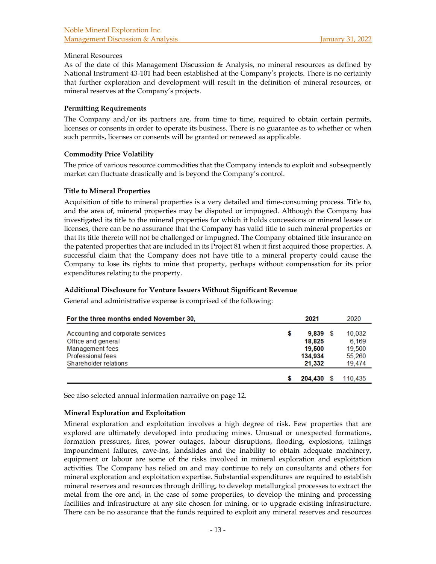### Mineral Resources

As of the date of this Management Discussion & Analysis, no mineral resources as defined by National Instrument 43-101 had been established at the Company's projects. There is no certainty that further exploration and development will result in the definition of mineral resources, or mineral reserves at the Company's projects.

### **Permitting Requirements**

The Company and/or its partners are, from time to time, required to obtain certain permits, licenses or consents in order to operate its business. There is no guarantee as to whether or when such permits, licenses or consents will be granted or renewed as applicable.

### **Commodity Price Volatility**

The price of various resource commodities that the Company intends to exploit and subsequently market can fluctuate drastically and is beyond the Company's control.

### **Title to Mineral Properties**

Acquisition of title to mineral properties is a very detailed and time-consuming process. Title to, and the area of, mineral properties may be disputed or impugned. Although the Company has investigated its title to the mineral properties for which it holds concessions or mineral leases or licenses, there can be no assurance that the Company has valid title to such mineral properties or that its title thereto will not be challenged or impugned. The Company obtained title insurance on the patented properties that are included in its Project 81 when it first acquired those properties. A successful claim that the Company does not have title to a mineral property could cause the Company to lose its rights to mine that property, perhaps without compensation for its prior expenditures relating to the property.

# **Additional Disclosure for Venture Issuers Without Significant Revenue**

General and administrative expense is comprised of the following:

| For the three months ended November 30,                                                                                  | 2021 |                                                     | 2020                                          |  |
|--------------------------------------------------------------------------------------------------------------------------|------|-----------------------------------------------------|-----------------------------------------------|--|
| Accounting and corporate services<br>Office and general<br>Management fees<br>Professional fees<br>Shareholder relations | 5    | $9,839$ \$<br>18.825<br>19,500<br>134,934<br>21.332 | 10,032<br>6,169<br>19,500<br>55.260<br>19.474 |  |
|                                                                                                                          |      | 204.430                                             | 110.435                                       |  |

See also selected annual information narrative on page 12.

#### **Mineral Exploration and Exploitation**

Mineral exploration and exploitation involves a high degree of risk. Few properties that are explored are ultimately developed into producing mines. Unusual or unexpected formations, formation pressures, fires, power outages, labour disruptions, flooding, explosions, tailings impoundment failures, cave-ins, landslides and the inability to obtain adequate machinery, equipment or labour are some of the risks involved in mineral exploration and exploitation activities. The Company has relied on and may continue to rely on consultants and others for mineral exploration and exploitation expertise. Substantial expenditures are required to establish mineral reserves and resources through drilling, to develop metallurgical processes to extract the metal from the ore and, in the case of some properties, to develop the mining and processing facilities and infrastructure at any site chosen for mining, or to upgrade existing infrastructure. There can be no assurance that the funds required to exploit any mineral reserves and resources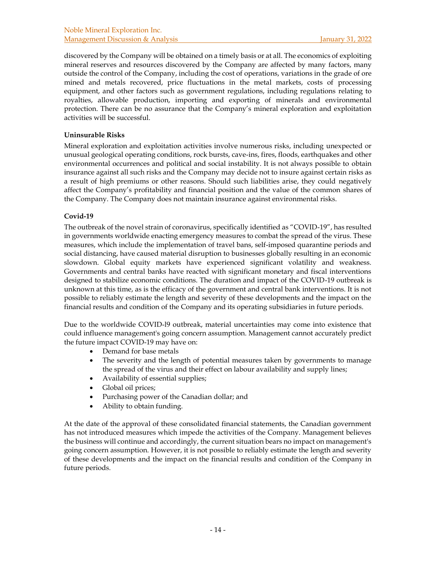discovered by the Company will be obtained on a timely basis or at all. The economics of exploiting mineral reserves and resources discovered by the Company are affected by many factors, many outside the control of the Company, including the cost of operations, variations in the grade of ore mined and metals recovered, price fluctuations in the metal markets, costs of processing equipment, and other factors such as government regulations, including regulations relating to royalties, allowable production, importing and exporting of minerals and environmental protection. There can be no assurance that the Company's mineral exploration and exploitation activities will be successful.

### **Uninsurable Risks**

Mineral exploration and exploitation activities involve numerous risks, including unexpected or unusual geological operating conditions, rock bursts, cave-ins, fires, floods, earthquakes and other environmental occurrences and political and social instability. It is not always possible to obtain insurance against all such risks and the Company may decide not to insure against certain risks as a result of high premiums or other reasons. Should such liabilities arise, they could negatively affect the Company's profitability and financial position and the value of the common shares of the Company. The Company does not maintain insurance against environmental risks.

### **Covid-19**

The outbreak of the novel strain of coronavirus, specifically identified as "COVID-19", has resulted in governments worldwide enacting emergency measures to combat the spread of the virus. These measures, which include the implementation of travel bans, self-imposed quarantine periods and social distancing, have caused material disruption to businesses globally resulting in an economic slowdown. Global equity markets have experienced significant volatility and weakness. Governments and central banks have reacted with significant monetary and fiscal interventions designed to stabilize economic conditions. The duration and impact of the COVID-19 outbreak is unknown at this time, as is the efficacy of the government and central bank interventions. It is not possible to reliably estimate the length and severity of these developments and the impact on the financial results and condition of the Company and its operating subsidiaries in future periods.

Due to the worldwide COVID-l9 outbreak, material uncertainties may come into existence that could influence management's going concern assumption. Management cannot accurately predict the future impact COVID-19 may have on:

- Demand for base metals
- The severity and the length of potential measures taken by governments to manage the spread of the virus and their effect on labour availability and supply lines;
- Availability of essential supplies;
- Global oil prices;
- Purchasing power of the Canadian dollar; and
- Ability to obtain funding.

At the date of the approval of these consolidated financial statements, the Canadian government has not introduced measures which impede the activities of the Company. Management believes the business will continue and accordingly, the current situation bears no impact on management's going concern assumption. However, it is not possible to reliably estimate the length and severity of these developments and the impact on the financial results and condition of the Company in future periods.